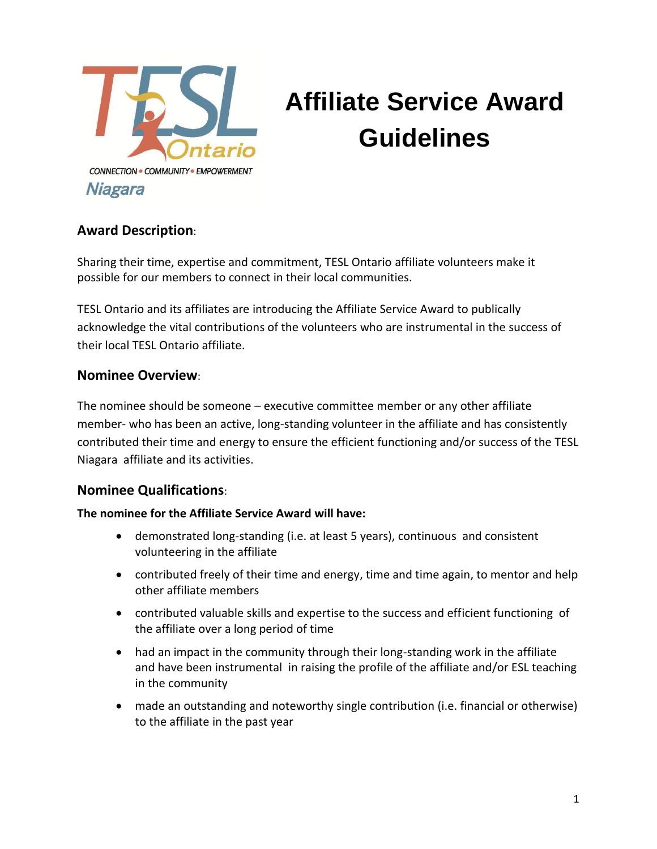

# **Affiliate Service Award Guidelines**

### **Award Description**:

Sharing their time, expertise and commitment, TESL Ontario affiliate volunteers make it possible for our members to connect in their local communities.

TESL Ontario and its affiliates are introducing the Affiliate Service Award to publically acknowledge the vital contributions of the volunteers who are instrumental in the success of their local TESL Ontario affiliate.

#### **Nominee Overview**:

The nominee should be someone – executive committee member or any other affiliate member- who has been an active, long-standing volunteer in the affiliate and has consistently contributed their time and energy to ensure the efficient functioning and/or success of the TESL Niagara affiliate and its activities.

#### **Nominee Qualifications**:

#### **The nominee for the Affiliate Service Award will have:**

- demonstrated long-standing (i.e. at least 5 years), continuous and consistent volunteering in the affiliate
- contributed freely of their time and energy, time and time again, to mentor and help other affiliate members
- contributed valuable skills and expertise to the success and efficient functioning of the affiliate over a long period of time
- had an impact in the community through their long-standing work in the affiliate and have been instrumental in raising the profile of the affiliate and/or ESL teaching in the community
- made an outstanding and noteworthy single contribution (i.e. financial or otherwise) to the affiliate in the past year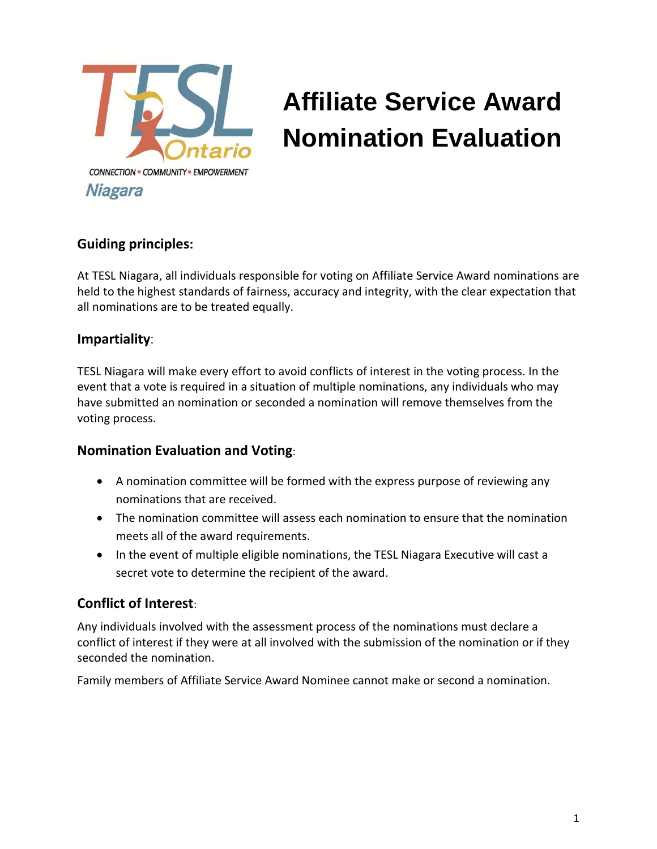

# **Affiliate Service Award Nomination Evaluation**

### **Guiding principles:**

At TESL Niagara, all individuals responsible for voting on Affiliate Service Award nominations are held to the highest standards of fairness, accuracy and integrity, with the clear expectation that all nominations are to be treated equally.

#### **Impartiality**:

TESL Niagara will make every effort to avoid conflicts of interest in the voting process. In the event that a vote is required in a situation of multiple nominations, any individuals who may have submitted an nomination or seconded a nomination will remove themselves from the voting process.

### **Nomination Evaluation and Voting**:

- A nomination committee will be formed with the express purpose of reviewing any nominations that are received.
- The nomination committee will assess each nomination to ensure that the nomination meets all of the award requirements.
- In the event of multiple eligible nominations, the TESL Niagara Executive will cast a secret vote to determine the recipient of the award.

### **Conflict of Interest**:

Any individuals involved with the assessment process of the nominations must declare a conflict of interest if they were at all involved with the submission of the nomination or if they seconded the nomination.

Family members of Affiliate Service Award Nominee cannot make or second a nomination.